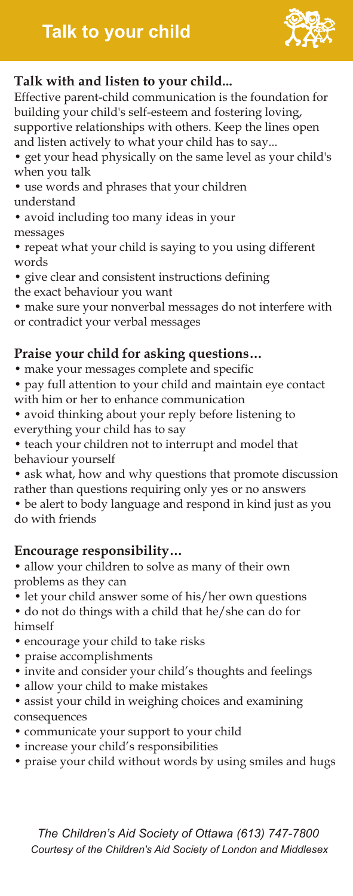# **Talk to your child**



# **Talk with and listen to your child...**

Effective parent-child communication is the foundation for building your child's self-esteem and fostering loving, supportive relationships with others. Keep the lines open and listen actively to what your child has to say...

- get your head physically on the same level as your child's when you talk
- use words and phrases that your children understand
- avoid including too many ideas in your messages
- repeat what your child is saying to you using different words
- give clear and consistent instructions defining
- the exact behaviour you want
- make sure your nonverbal messages do not interfere with or contradict your verbal messages

# **Praise your child for asking questions…**

- make your messages complete and specific
- pay full attention to your child and maintain eye contact with him or her to enhance communication
- avoid thinking about your reply before listening to everything your child has to say
- teach your children not to interrupt and model that behaviour yourself
- ask what, how and why questions that promote discussion rather than questions requiring only yes or no answers • be alert to body language and respond in kind just as you

do with friends

# **Encourage responsibility…**

- allow your children to solve as many of their own problems as they can
- let your child answer some of his/her own questions
- do not do things with a child that he/she can do for himself
- encourage your child to take risks
- praise accomplishments
- invite and consider your child's thoughts and feelings
- allow your child to make mistakes
- assist your child in weighing choices and examining consequences
- communicate your support to your child
- increase your child's responsibilities
- praise your child without words by using smiles and hugs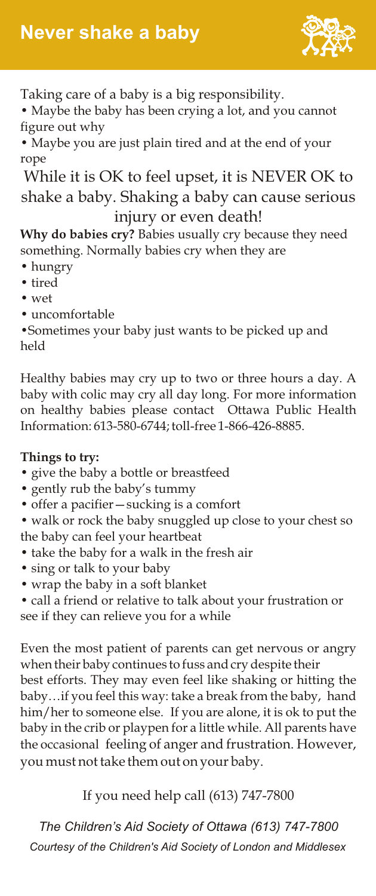

Taking care of a baby is a big responsibility.

• Maybe the baby has been crying a lot, and you cannot figure out why

• Maybe you are just plain tired and at the end of your rope

While it is OK to feel upset, it is NEVER OK to shake a baby. Shaking a baby can cause serious injury or even death!

**Why do babies cry?** Babies usually cry because they need something. Normally babies cry when they are

- hungry
- tired
- wet
- uncomfortable

•Sometimes your baby just wants to be picked up and held

Healthy babies may cry up to two or three hours a day. A baby with colic may cry all day long. For more information on healthy babies please contact Ottawa Public Health Information: 613-580-6744; toll-free 1-866-426-8885.

#### **Things to try:**

- give the baby a bottle or breastfeed
- gently rub the baby's tummy
- offer a pacifier—sucking is a comfort

• walk or rock the baby snuggled up close to your chest so the baby can feel your heartbeat

- take the baby for a walk in the fresh air
- sing or talk to your baby
- wrap the baby in a soft blanket
- call a friend or relative to talk about your frustration or

see if they can relieve you for a while

Even the most patient of parents can get nervous or angry when their baby continues to fuss and cry despite their best efforts. They may even feel like shaking or hitting the baby…if you feel this way: take a break from the baby, hand him/her to someone else. If you are alone, it is ok to put the baby in the crib or playpen for a little while. All parents have the occasional feeling of anger and frustration. However, you must not take them out on your baby.

#### If you need help call (613) 747-7800

*Courtesy of the Children's Aid Society of London and Middlesex The Children's Aid Society of Ottawa (613) 747-7800*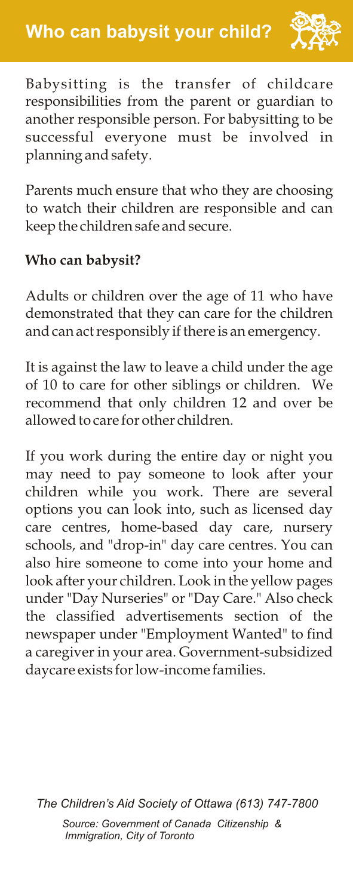

Babysitting is the transfer of childcare responsibilities from the parent or guardian to another responsible person. For babysitting to be successful everyone must be involved in planning and safety.

Parents much ensure that who they are choosing to watch their children are responsible and can keep the children safe and secure.

# **Who can babysit?**

Adults or children over the age of 11 who have demonstrated that they can care for the children and can act responsibly if there is an emergency.

It is against the law to leave a child under the age of 10 to care for other siblings or children. We recommend that only children 12 and over be allowed to care for other children.

If you work during the entire day or night you may need to pay someone to look after your children while you work. There are several options you can look into, such as licensed day care centres, home-based day care, nursery schools, and "drop-in" day care centres. You can also hire someone to come into your home and look after your children. Look in the yellow pages under "Day Nurseries" or "Day Care." Also check the classified advertisements section of the newspaper under "Employment Wanted" to find a caregiver in your area. Government-subsidized daycare exists for low-income families.

*The Children's Aid Society of Ottawa (613) 747-7800 Source: Government of Canada Citizenship & Immigration, City of Toronto*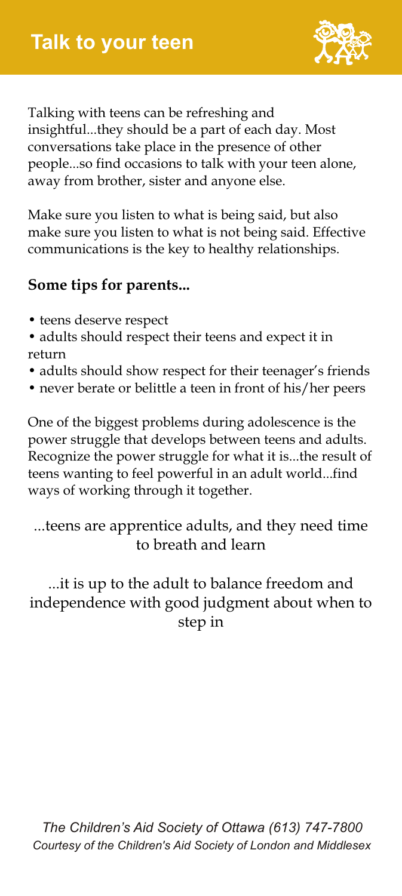

Talking with teens can be refreshing and insightful...they should be a part of each day. Most conversations take place in the presence of other people...so find occasions to talk with your teen alone, away from brother, sister and anyone else.

Make sure you listen to what is being said, but also make sure you listen to what is not being said. Effective communications is the key to healthy relationships.

#### **Some tips for parents...**

- teens deserve respect
- adults should respect their teens and expect it in return
- adults should show respect for their teenager's friends
- never berate or belittle a teen in front of his/her peers

One of the biggest problems during adolescence is the power struggle that develops between teens and adults. Recognize the power struggle for what it is...the result of teens wanting to feel powerful in an adult world...find ways of working through it together.

...teens are apprentice adults, and they need time to breath and learn

...it is up to the adult to balance freedom and independence with good judgment about when to step in